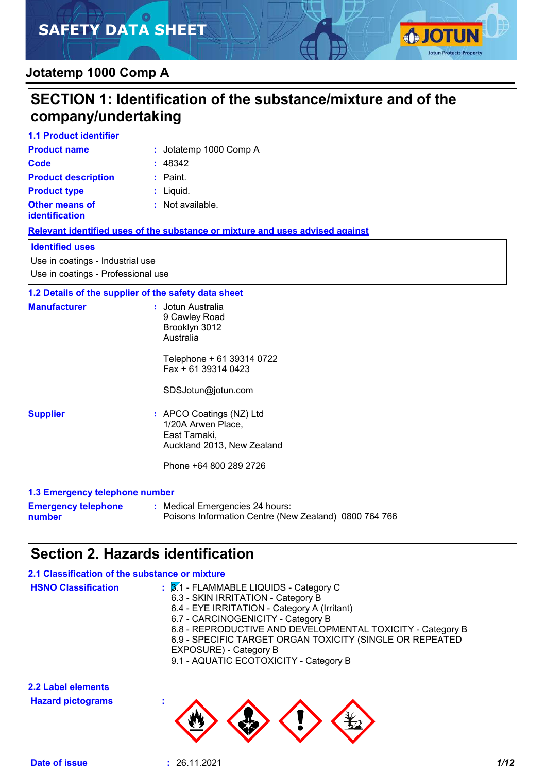# **SAFETY DATA SHEET**



### **Jotatemp 1000 Comp A**

|                                                                        | SECTION 1: Identification of the substance/mixture and of the                                                                                                                                                                                                                                                                                                    |
|------------------------------------------------------------------------|------------------------------------------------------------------------------------------------------------------------------------------------------------------------------------------------------------------------------------------------------------------------------------------------------------------------------------------------------------------|
| company/undertaking                                                    |                                                                                                                                                                                                                                                                                                                                                                  |
| <b>1.1 Product identifier</b>                                          |                                                                                                                                                                                                                                                                                                                                                                  |
| <b>Product name</b>                                                    | : Jotatemp 1000 Comp A                                                                                                                                                                                                                                                                                                                                           |
| Code                                                                   | : 48342                                                                                                                                                                                                                                                                                                                                                          |
| <b>Product description</b>                                             | : Paint.                                                                                                                                                                                                                                                                                                                                                         |
| <b>Product type</b>                                                    | : Liquid.                                                                                                                                                                                                                                                                                                                                                        |
| <b>Other means of</b><br><b>identification</b>                         | : Not available.                                                                                                                                                                                                                                                                                                                                                 |
|                                                                        | Relevant identified uses of the substance or mixture and uses advised against                                                                                                                                                                                                                                                                                    |
| <b>Identified uses</b>                                                 |                                                                                                                                                                                                                                                                                                                                                                  |
| Use in coatings - Industrial use<br>Use in coatings - Professional use |                                                                                                                                                                                                                                                                                                                                                                  |
| 1.2 Details of the supplier of the safety data sheet                   |                                                                                                                                                                                                                                                                                                                                                                  |
| <b>Manufacturer</b>                                                    | : Jotun Australia<br>9 Cawley Road<br>Brooklyn 3012<br>Australia                                                                                                                                                                                                                                                                                                 |
|                                                                        | Telephone + 61 39314 0722<br>Fax + 61 39314 0423                                                                                                                                                                                                                                                                                                                 |
|                                                                        | SDSJotun@jotun.com                                                                                                                                                                                                                                                                                                                                               |
| <b>Supplier</b>                                                        | : APCO Coatings (NZ) Ltd<br>1/20A Arwen Place,<br>East Tamaki,<br>Auckland 2013, New Zealand<br>Phone +64 800 289 2726                                                                                                                                                                                                                                           |
| 1.3 Emergency telephone number                                         |                                                                                                                                                                                                                                                                                                                                                                  |
| <b>Emergency telephone</b><br>number                                   | : Medical Emergencies 24 hours:<br>Poisons Information Centre (New Zealand) 0800 764 766                                                                                                                                                                                                                                                                         |
|                                                                        | <b>Section 2. Hazards identification</b>                                                                                                                                                                                                                                                                                                                         |
| 2.1 Classification of the substance or mixture                         |                                                                                                                                                                                                                                                                                                                                                                  |
| <b>HSNO Classification</b>                                             | : 3.1 - FLAMMABLE LIQUIDS - Category C<br>6.3 - SKIN IRRITATION - Category B<br>6.4 - EYE IRRITATION - Category A (Irritant)<br>6.7 - CARCINOGENICITY - Category B<br>6.8 - REPRODUCTIVE AND DEVELOPMENTAL TOXICITY - Category B<br>6.9 - SPECIFIC TARGET ORGAN TOXICITY (SINGLE OR REPEATED<br>EXPOSURE) - Category B<br>9.1 - AQUATIC ECOTOXICITY - Category B |
| 2.2 Label elements                                                     |                                                                                                                                                                                                                                                                                                                                                                  |
| <b>Hazard pictograms</b>                                               |                                                                                                                                                                                                                                                                                                                                                                  |



| Date of issue |
|---------------|
|---------------|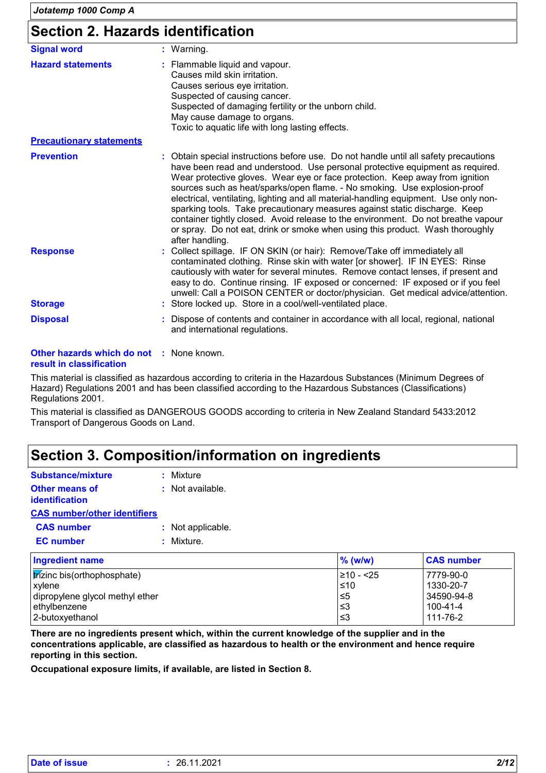### **Section 2. Hazards identification**

| <b>Signal word</b>              | : Warning.                                                                                                                                                                                                                                                                                                                                                                                                                                                                                                                                                                                                                                                                                        |
|---------------------------------|---------------------------------------------------------------------------------------------------------------------------------------------------------------------------------------------------------------------------------------------------------------------------------------------------------------------------------------------------------------------------------------------------------------------------------------------------------------------------------------------------------------------------------------------------------------------------------------------------------------------------------------------------------------------------------------------------|
| <b>Hazard statements</b>        | : Flammable liquid and vapour.<br>Causes mild skin irritation.<br>Causes serious eye irritation.<br>Suspected of causing cancer.<br>Suspected of damaging fertility or the unborn child.<br>May cause damage to organs.<br>Toxic to aquatic life with long lasting effects.                                                                                                                                                                                                                                                                                                                                                                                                                       |
| <b>Precautionary statements</b> |                                                                                                                                                                                                                                                                                                                                                                                                                                                                                                                                                                                                                                                                                                   |
| <b>Prevention</b>               | : Obtain special instructions before use. Do not handle until all safety precautions<br>have been read and understood. Use personal protective equipment as required.<br>Wear protective gloves. Wear eye or face protection. Keep away from ignition<br>sources such as heat/sparks/open flame. - No smoking. Use explosion-proof<br>electrical, ventilating, lighting and all material-handling equipment. Use only non-<br>sparking tools. Take precautionary measures against static discharge. Keep<br>container tightly closed. Avoid release to the environment. Do not breathe vapour<br>or spray. Do not eat, drink or smoke when using this product. Wash thoroughly<br>after handling. |
| <b>Response</b>                 | : Collect spillage. IF ON SKIN (or hair): Remove/Take off immediately all<br>contaminated clothing. Rinse skin with water [or shower]. IF IN EYES: Rinse<br>cautiously with water for several minutes. Remove contact lenses, if present and<br>easy to do. Continue rinsing. IF exposed or concerned: IF exposed or if you feel<br>unwell: Call a POISON CENTER or doctor/physician. Get medical advice/attention.                                                                                                                                                                                                                                                                               |
| <b>Storage</b>                  | : Store locked up. Store in a cool/well-ventilated place.                                                                                                                                                                                                                                                                                                                                                                                                                                                                                                                                                                                                                                         |
| <b>Disposal</b>                 | Dispose of contents and container in accordance with all local, regional, national<br>and international regulations.                                                                                                                                                                                                                                                                                                                                                                                                                                                                                                                                                                              |

#### **Other hazards which do not :** None known. **result in classification**

This material is classified as hazardous according to criteria in the Hazardous Substances (Minimum Degrees of Hazard) Regulations 2001 and has been classified according to the Hazardous Substances (Classifications) Regulations 2001.

This material is classified as DANGEROUS GOODS according to criteria in New Zealand Standard 5433:2012 Transport of Dangerous Goods on Land.

### **Section 3. Composition/information on ingredients**

| Substance/mixture                       | : Mixture          |
|-----------------------------------------|--------------------|
| <b>Other means of</b><br>identification | $:$ Not available. |
| <b>CAS number/other identifiers</b>     |                    |
| <b>CAS number</b>                       | : Not applicable.  |
| <b>EC</b> number                        | : Mixture.         |
| <b>Ingredient name</b>                  |                    |
| trizinc bis(orthophosphate)             |                    |

| <b>Ingredient name</b>                           | $%$ (w/w)  | <b>CAS number</b> |
|--------------------------------------------------|------------|-------------------|
| $\frac{1}{2}$ <i>trizinc</i> bis(orthophosphate) | 1≥10 - <25 | 7779-90-0         |
| xylene                                           | $\leq 10$  | 1330-20-7         |
| dipropylene glycol methyl ether                  | $\leq 5$   | 34590-94-8        |
| ethylbenzene                                     | ا≤3        | 100-41-4          |
| l 2-butoxvethanol                                | l≤3        | 111-76-2          |

**There are no ingredients present which, within the current knowledge of the supplier and in the concentrations applicable, are classified as hazardous to health or the environment and hence require reporting in this section.**

**Occupational exposure limits, if available, are listed in Section 8.**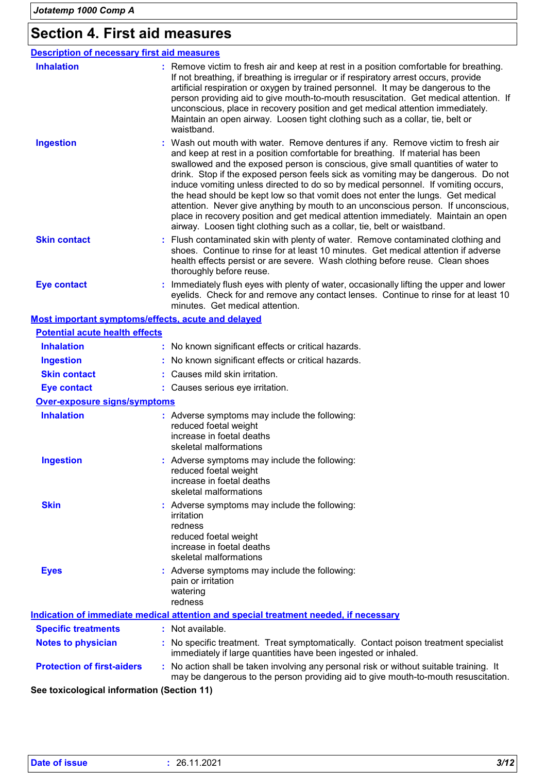### **Section 4. First aid measures**

| <b>Description of necessary first aid measures</b> |                                                                                                                                                                                                                                                                                                                                                                                                                                                                                                                                                                                                                                                                                                                                                                           |
|----------------------------------------------------|---------------------------------------------------------------------------------------------------------------------------------------------------------------------------------------------------------------------------------------------------------------------------------------------------------------------------------------------------------------------------------------------------------------------------------------------------------------------------------------------------------------------------------------------------------------------------------------------------------------------------------------------------------------------------------------------------------------------------------------------------------------------------|
| <b>Inhalation</b>                                  | : Remove victim to fresh air and keep at rest in a position comfortable for breathing.<br>If not breathing, if breathing is irregular or if respiratory arrest occurs, provide<br>artificial respiration or oxygen by trained personnel. It may be dangerous to the<br>person providing aid to give mouth-to-mouth resuscitation. Get medical attention. If<br>unconscious, place in recovery position and get medical attention immediately.<br>Maintain an open airway. Loosen tight clothing such as a collar, tie, belt or<br>waistband.                                                                                                                                                                                                                              |
| <b>Ingestion</b>                                   | : Wash out mouth with water. Remove dentures if any. Remove victim to fresh air<br>and keep at rest in a position comfortable for breathing. If material has been<br>swallowed and the exposed person is conscious, give small quantities of water to<br>drink. Stop if the exposed person feels sick as vomiting may be dangerous. Do not<br>induce vomiting unless directed to do so by medical personnel. If vomiting occurs,<br>the head should be kept low so that vomit does not enter the lungs. Get medical<br>attention. Never give anything by mouth to an unconscious person. If unconscious,<br>place in recovery position and get medical attention immediately. Maintain an open<br>airway. Loosen tight clothing such as a collar, tie, belt or waistband. |
| <b>Skin contact</b>                                | : Flush contaminated skin with plenty of water. Remove contaminated clothing and<br>shoes. Continue to rinse for at least 10 minutes. Get medical attention if adverse<br>health effects persist or are severe. Wash clothing before reuse. Clean shoes<br>thoroughly before reuse.                                                                                                                                                                                                                                                                                                                                                                                                                                                                                       |
| <b>Eye contact</b>                                 | : Immediately flush eyes with plenty of water, occasionally lifting the upper and lower<br>eyelids. Check for and remove any contact lenses. Continue to rinse for at least 10<br>minutes. Get medical attention.                                                                                                                                                                                                                                                                                                                                                                                                                                                                                                                                                         |
|                                                    | Most important symptoms/effects, acute and delayed                                                                                                                                                                                                                                                                                                                                                                                                                                                                                                                                                                                                                                                                                                                        |
| <b>Potential acute health effects</b>              |                                                                                                                                                                                                                                                                                                                                                                                                                                                                                                                                                                                                                                                                                                                                                                           |
| <b>Inhalation</b>                                  | No known significant effects or critical hazards.                                                                                                                                                                                                                                                                                                                                                                                                                                                                                                                                                                                                                                                                                                                         |
| <b>Ingestion</b>                                   | No known significant effects or critical hazards.                                                                                                                                                                                                                                                                                                                                                                                                                                                                                                                                                                                                                                                                                                                         |
| <b>Skin contact</b>                                | Causes mild skin irritation.                                                                                                                                                                                                                                                                                                                                                                                                                                                                                                                                                                                                                                                                                                                                              |
| <b>Eye contact</b>                                 | : Causes serious eye irritation.                                                                                                                                                                                                                                                                                                                                                                                                                                                                                                                                                                                                                                                                                                                                          |
| <b>Over-exposure signs/symptoms</b>                |                                                                                                                                                                                                                                                                                                                                                                                                                                                                                                                                                                                                                                                                                                                                                                           |
| <b>Inhalation</b>                                  | : Adverse symptoms may include the following:<br>reduced foetal weight<br>increase in foetal deaths<br>skeletal malformations                                                                                                                                                                                                                                                                                                                                                                                                                                                                                                                                                                                                                                             |
| <b>Ingestion</b>                                   | Adverse symptoms may include the following:<br>reduced foetal weight<br>increase in foetal deaths<br>skeletal malformations                                                                                                                                                                                                                                                                                                                                                                                                                                                                                                                                                                                                                                               |
| <b>Skin</b>                                        | : Adverse symptoms may include the following:<br>irritation<br>redness<br>reduced foetal weight<br>increase in foetal deaths<br>skeletal malformations                                                                                                                                                                                                                                                                                                                                                                                                                                                                                                                                                                                                                    |
| <b>Eyes</b>                                        | : Adverse symptoms may include the following:<br>pain or irritation<br>watering<br>redness                                                                                                                                                                                                                                                                                                                                                                                                                                                                                                                                                                                                                                                                                |
|                                                    | Indication of immediate medical attention and special treatment needed, if necessary                                                                                                                                                                                                                                                                                                                                                                                                                                                                                                                                                                                                                                                                                      |
| <b>Specific treatments</b>                         | : Not available.                                                                                                                                                                                                                                                                                                                                                                                                                                                                                                                                                                                                                                                                                                                                                          |

**Notes to physician :** No specific treatment. Treat symptomatically. Contact poison treatment specialist immediately if large quantities have been ingested or inhaled.

**Protection of first-aiders** : No action shall be taken involving any personal risk or without suitable training. It may be dangerous to the person providing aid to give mouth-to-mouth resuscitation.

**See toxicological information (Section 11)**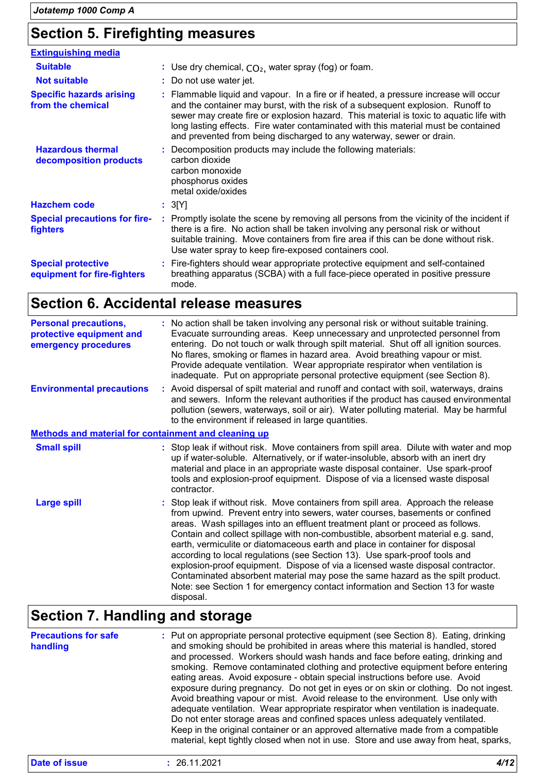### **Section 5. Firefighting measures**

| <b>Extinguishing media</b>                               |                                                                                                                                                                                                                                                                                                                                                                                                                                  |
|----------------------------------------------------------|----------------------------------------------------------------------------------------------------------------------------------------------------------------------------------------------------------------------------------------------------------------------------------------------------------------------------------------------------------------------------------------------------------------------------------|
| <b>Suitable</b>                                          | : Use dry chemical, $CO2$ , water spray (fog) or foam.                                                                                                                                                                                                                                                                                                                                                                           |
| <b>Not suitable</b>                                      | : Do not use water jet.                                                                                                                                                                                                                                                                                                                                                                                                          |
| <b>Specific hazards arising</b><br>from the chemical     | : Flammable liquid and vapour. In a fire or if heated, a pressure increase will occur<br>and the container may burst, with the risk of a subsequent explosion. Runoff to<br>sewer may create fire or explosion hazard. This material is toxic to aquatic life with<br>long lasting effects. Fire water contaminated with this material must be contained<br>and prevented from being discharged to any waterway, sewer or drain. |
| <b>Hazardous thermal</b><br>decomposition products       | : Decomposition products may include the following materials:<br>carbon dioxide<br>carbon monoxide<br>phosphorus oxides<br>metal oxide/oxides                                                                                                                                                                                                                                                                                    |
| <b>Hazchem code</b>                                      | : 3[Y]                                                                                                                                                                                                                                                                                                                                                                                                                           |
| <b>Special precautions for fire-</b><br>fighters         | : Promptly isolate the scene by removing all persons from the vicinity of the incident if<br>there is a fire. No action shall be taken involving any personal risk or without<br>suitable training. Move containers from fire area if this can be done without risk.<br>Use water spray to keep fire-exposed containers cool.                                                                                                    |
| <b>Special protective</b><br>equipment for fire-fighters | : Fire-fighters should wear appropriate protective equipment and self-contained<br>breathing apparatus (SCBA) with a full face-piece operated in positive pressure<br>mode.                                                                                                                                                                                                                                                      |

### **Section 6. Accidental release measures**

| <b>Personal precautions,</b><br>protective equipment and<br>emergency procedures | : No action shall be taken involving any personal risk or without suitable training.<br>Evacuate surrounding areas. Keep unnecessary and unprotected personnel from<br>entering. Do not touch or walk through spilt material. Shut off all ignition sources.<br>No flares, smoking or flames in hazard area. Avoid breathing vapour or mist.<br>Provide adequate ventilation. Wear appropriate respirator when ventilation is<br>inadequate. Put on appropriate personal protective equipment (see Section 8).                                                                                                                                                                                                                                                            |
|----------------------------------------------------------------------------------|---------------------------------------------------------------------------------------------------------------------------------------------------------------------------------------------------------------------------------------------------------------------------------------------------------------------------------------------------------------------------------------------------------------------------------------------------------------------------------------------------------------------------------------------------------------------------------------------------------------------------------------------------------------------------------------------------------------------------------------------------------------------------|
| <b>Environmental precautions</b>                                                 | : Avoid dispersal of spilt material and runoff and contact with soil, waterways, drains<br>and sewers. Inform the relevant authorities if the product has caused environmental<br>pollution (sewers, waterways, soil or air). Water polluting material. May be harmful<br>to the environment if released in large quantities.                                                                                                                                                                                                                                                                                                                                                                                                                                             |
| Methods and material for containment and cleaning up                             |                                                                                                                                                                                                                                                                                                                                                                                                                                                                                                                                                                                                                                                                                                                                                                           |
| <b>Small spill</b>                                                               | : Stop leak if without risk. Move containers from spill area. Dilute with water and mop<br>up if water-soluble. Alternatively, or if water-insoluble, absorb with an inert dry<br>material and place in an appropriate waste disposal container. Use spark-proof<br>tools and explosion-proof equipment. Dispose of via a licensed waste disposal<br>contractor.                                                                                                                                                                                                                                                                                                                                                                                                          |
| <b>Large spill</b>                                                               | : Stop leak if without risk. Move containers from spill area. Approach the release<br>from upwind. Prevent entry into sewers, water courses, basements or confined<br>areas. Wash spillages into an effluent treatment plant or proceed as follows.<br>Contain and collect spillage with non-combustible, absorbent material e.g. sand,<br>earth, vermiculite or diatomaceous earth and place in container for disposal<br>according to local regulations (see Section 13). Use spark-proof tools and<br>explosion-proof equipment. Dispose of via a licensed waste disposal contractor.<br>Contaminated absorbent material may pose the same hazard as the spilt product.<br>Note: see Section 1 for emergency contact information and Section 13 for waste<br>disposal. |

## **Section 7. Handling and storage**

| <b>Precautions for safe</b><br>handling | : Put on appropriate personal protective equipment (see Section 8). Eating, drinking<br>and smoking should be prohibited in areas where this material is handled, stored<br>and processed. Workers should wash hands and face before eating, drinking and<br>smoking. Remove contaminated clothing and protective equipment before entering<br>eating areas. Avoid exposure - obtain special instructions before use. Avoid<br>exposure during pregnancy. Do not get in eyes or on skin or clothing. Do not ingest.<br>Avoid breathing vapour or mist. Avoid release to the environment. Use only with<br>adequate ventilation. Wear appropriate respirator when ventilation is inadequate.<br>Do not enter storage areas and confined spaces unless adequately ventilated.<br>Keep in the original container or an approved alternative made from a compatible<br>material, kept tightly closed when not in use. Store and use away from heat, sparks, |
|-----------------------------------------|---------------------------------------------------------------------------------------------------------------------------------------------------------------------------------------------------------------------------------------------------------------------------------------------------------------------------------------------------------------------------------------------------------------------------------------------------------------------------------------------------------------------------------------------------------------------------------------------------------------------------------------------------------------------------------------------------------------------------------------------------------------------------------------------------------------------------------------------------------------------------------------------------------------------------------------------------------|
|-----------------------------------------|---------------------------------------------------------------------------------------------------------------------------------------------------------------------------------------------------------------------------------------------------------------------------------------------------------------------------------------------------------------------------------------------------------------------------------------------------------------------------------------------------------------------------------------------------------------------------------------------------------------------------------------------------------------------------------------------------------------------------------------------------------------------------------------------------------------------------------------------------------------------------------------------------------------------------------------------------------|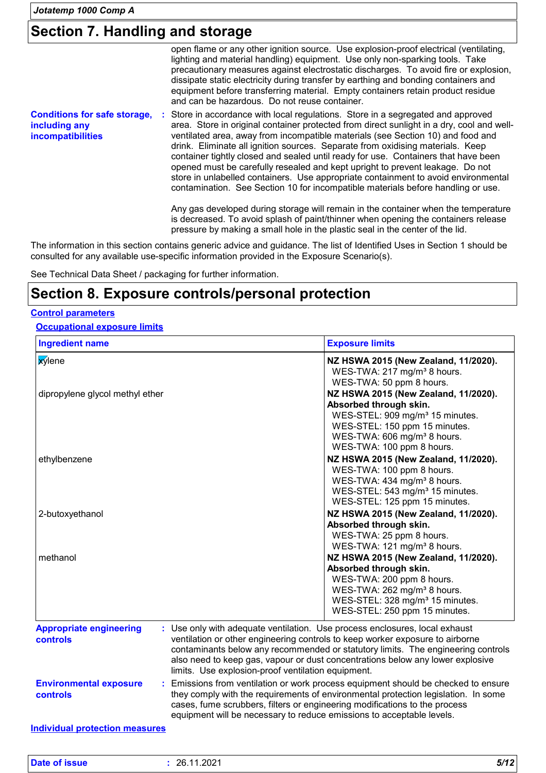### **Section 7. Handling and storage**

|                                                                                  | open flame or any other ignition source. Use explosion-proof electrical (ventilating,<br>lighting and material handling) equipment. Use only non-sparking tools. Take<br>precautionary measures against electrostatic discharges. To avoid fire or explosion,<br>dissipate static electricity during transfer by earthing and bonding containers and<br>equipment before transferring material. Empty containers retain product residue<br>and can be hazardous. Do not reuse container.                                                                                                                                                                                                            |
|----------------------------------------------------------------------------------|-----------------------------------------------------------------------------------------------------------------------------------------------------------------------------------------------------------------------------------------------------------------------------------------------------------------------------------------------------------------------------------------------------------------------------------------------------------------------------------------------------------------------------------------------------------------------------------------------------------------------------------------------------------------------------------------------------|
| <b>Conditions for safe storage,</b><br>including any<br><b>incompatibilities</b> | : Store in accordance with local regulations. Store in a segregated and approved<br>area. Store in original container protected from direct sunlight in a dry, cool and well-<br>ventilated area, away from incompatible materials (see Section 10) and food and<br>drink. Eliminate all ignition sources. Separate from oxidising materials. Keep<br>container tightly closed and sealed until ready for use. Containers that have been<br>opened must be carefully resealed and kept upright to prevent leakage. Do not<br>store in unlabelled containers. Use appropriate containment to avoid environmental<br>contamination. See Section 10 for incompatible materials before handling or use. |
|                                                                                  | Any gas developed during storage will remain in the container when the temperature<br>is decreased. To avoid splash of paint/thinner when opening the containers release<br>pressure by making a small hole in the plastic seal in the center of the lid.                                                                                                                                                                                                                                                                                                                                                                                                                                           |

The information in this section contains generic advice and guidance. The list of Identified Uses in Section 1 should be consulted for any available use-specific information provided in the Exposure Scenario(s).

See Technical Data Sheet / packaging for further information.

### **Section 8. Exposure controls/personal protection**

#### **Control parameters**

### **Occupational exposure limits**

| <b>x</b> ylene<br>dipropylene glycol methyl ether | NZ HSWA 2015 (New Zealand, 11/2020).<br>WES-TWA: 217 mg/m <sup>3</sup> 8 hours.<br>WES-TWA: 50 ppm 8 hours.<br>NZ HSWA 2015 (New Zealand, 11/2020).<br>Absorbed through skin.<br>WES-STEL: 909 mg/m <sup>3</sup> 15 minutes.<br>WES-STEL: 150 ppm 15 minutes.                                                                                                                            |  |
|---------------------------------------------------|------------------------------------------------------------------------------------------------------------------------------------------------------------------------------------------------------------------------------------------------------------------------------------------------------------------------------------------------------------------------------------------|--|
|                                                   |                                                                                                                                                                                                                                                                                                                                                                                          |  |
|                                                   | WES-TWA: 606 mg/m <sup>3</sup> 8 hours.<br>WES-TWA: 100 ppm 8 hours.                                                                                                                                                                                                                                                                                                                     |  |
| ethylbenzene                                      | NZ HSWA 2015 (New Zealand, 11/2020).<br>WES-TWA: 100 ppm 8 hours.<br>WES-TWA: 434 mg/m <sup>3</sup> 8 hours.<br>WES-STEL: 543 mg/m <sup>3</sup> 15 minutes.<br>WES-STEL: 125 ppm 15 minutes.                                                                                                                                                                                             |  |
| 2-butoxyethanol                                   | NZ HSWA 2015 (New Zealand, 11/2020).<br>Absorbed through skin.<br>WES-TWA: 25 ppm 8 hours.<br>WES-TWA: 121 mg/m <sup>3</sup> 8 hours.                                                                                                                                                                                                                                                    |  |
| methanol                                          | NZ HSWA 2015 (New Zealand, 11/2020).<br>Absorbed through skin.<br>WES-TWA: 200 ppm 8 hours.<br>WES-TWA: 262 mg/m <sup>3</sup> 8 hours.<br>WES-STEL: 328 mg/m <sup>3</sup> 15 minutes.<br>WES-STEL: 250 ppm 15 minutes.                                                                                                                                                                   |  |
| <b>Appropriate engineering</b><br><b>controls</b> | : Use only with adequate ventilation. Use process enclosures, local exhaust<br>ventilation or other engineering controls to keep worker exposure to airborne<br>contaminants below any recommended or statutory limits. The engineering controls<br>also need to keep gas, vapour or dust concentrations below any lower explosive<br>limits. Use explosion-proof ventilation equipment. |  |
| <b>Environmental exposure</b><br><b>controls</b>  | : Emissions from ventilation or work process equipment should be checked to ensure<br>they comply with the requirements of environmental protection legislation. In some<br>cases, fume scrubbers, filters or engineering modifications to the process<br>equipment will be necessary to reduce emissions to acceptable levels.                                                          |  |

| D | ጋፍ<br>ືບ∠<br>_<br>the contract of the contract of the contract of the contract of the contract of the contract of the contract of | F/42<br>ת: |
|---|-----------------------------------------------------------------------------------------------------------------------------------|------------|
|   |                                                                                                                                   |            |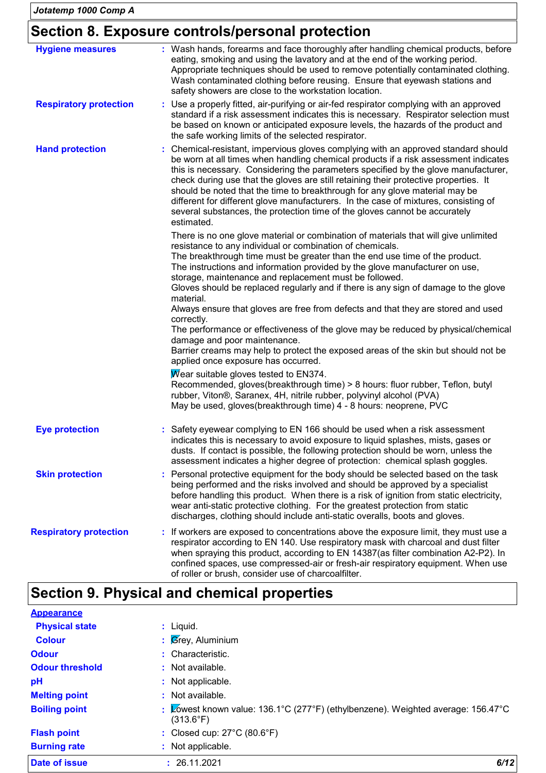### **Section 8. Exposure controls/personal protection**

| <b>Hygiene measures</b>       | : Wash hands, forearms and face thoroughly after handling chemical products, before<br>eating, smoking and using the lavatory and at the end of the working period.<br>Appropriate techniques should be used to remove potentially contaminated clothing.<br>Wash contaminated clothing before reusing. Ensure that eyewash stations and<br>safety showers are close to the workstation location.                                                                                                                                                                                                                                                                                                                                                                                                                                 |
|-------------------------------|-----------------------------------------------------------------------------------------------------------------------------------------------------------------------------------------------------------------------------------------------------------------------------------------------------------------------------------------------------------------------------------------------------------------------------------------------------------------------------------------------------------------------------------------------------------------------------------------------------------------------------------------------------------------------------------------------------------------------------------------------------------------------------------------------------------------------------------|
| <b>Respiratory protection</b> | : Use a properly fitted, air-purifying or air-fed respirator complying with an approved<br>standard if a risk assessment indicates this is necessary. Respirator selection must<br>be based on known or anticipated exposure levels, the hazards of the product and<br>the safe working limits of the selected respirator.                                                                                                                                                                                                                                                                                                                                                                                                                                                                                                        |
| <b>Hand protection</b>        | : Chemical-resistant, impervious gloves complying with an approved standard should<br>be worn at all times when handling chemical products if a risk assessment indicates<br>this is necessary. Considering the parameters specified by the glove manufacturer,<br>check during use that the gloves are still retaining their protective properties. It<br>should be noted that the time to breakthrough for any glove material may be<br>different for different glove manufacturers. In the case of mixtures, consisting of<br>several substances, the protection time of the gloves cannot be accurately<br>estimated.                                                                                                                                                                                                         |
|                               | There is no one glove material or combination of materials that will give unlimited<br>resistance to any individual or combination of chemicals.<br>The breakthrough time must be greater than the end use time of the product.<br>The instructions and information provided by the glove manufacturer on use,<br>storage, maintenance and replacement must be followed.<br>Gloves should be replaced regularly and if there is any sign of damage to the glove<br>material.<br>Always ensure that gloves are free from defects and that they are stored and used<br>correctly.<br>The performance or effectiveness of the glove may be reduced by physical/chemical<br>damage and poor maintenance.<br>Barrier creams may help to protect the exposed areas of the skin but should not be<br>applied once exposure has occurred. |
|                               | Wear suitable gloves tested to EN374.<br>Recommended, gloves(breakthrough time) > 8 hours: fluor rubber, Teflon, butyl<br>rubber, Viton®, Saranex, 4H, nitrile rubber, polyvinyl alcohol (PVA)<br>May be used, gloves(breakthrough time) 4 - 8 hours: neoprene, PVC                                                                                                                                                                                                                                                                                                                                                                                                                                                                                                                                                               |
| <b>Eye protection</b>         | : Safety eyewear complying to EN 166 should be used when a risk assessment<br>indicates this is necessary to avoid exposure to liquid splashes, mists, gases or<br>dusts. If contact is possible, the following protection should be worn, unless the<br>assessment indicates a higher degree of protection: chemical splash goggles.                                                                                                                                                                                                                                                                                                                                                                                                                                                                                             |
| <b>Skin protection</b>        | : Personal protective equipment for the body should be selected based on the task<br>being performed and the risks involved and should be approved by a specialist<br>before handling this product. When there is a risk of ignition from static electricity,<br>wear anti-static protective clothing. For the greatest protection from static<br>discharges, clothing should include anti-static overalls, boots and gloves.                                                                                                                                                                                                                                                                                                                                                                                                     |
| <b>Respiratory protection</b> | : If workers are exposed to concentrations above the exposure limit, they must use a<br>respirator according to EN 140. Use respiratory mask with charcoal and dust filter<br>when spraying this product, according to EN 14387(as filter combination A2-P2). In<br>confined spaces, use compressed-air or fresh-air respiratory equipment. When use<br>of roller or brush, consider use of charcoalfilter.                                                                                                                                                                                                                                                                                                                                                                                                                       |

## **Section 9. Physical and chemical properties**

| <b>Appearance</b>      |                                                                                                                  |
|------------------------|------------------------------------------------------------------------------------------------------------------|
| <b>Physical state</b>  | $:$ Liquid.                                                                                                      |
| <b>Colour</b>          | : $\beta$ rey, Aluminium                                                                                         |
| <b>Odour</b>           | : Characteristic.                                                                                                |
| <b>Odour threshold</b> | : Not available.                                                                                                 |
| pH                     | : Not applicable.                                                                                                |
| <b>Melting point</b>   | : Not available.                                                                                                 |
| <b>Boiling point</b>   | : Lowest known value: $136.1^{\circ}$ C (277°F) (ethylbenzene). Weighted average: 156.47°C<br>$(313.6^{\circ}F)$ |
| <b>Flash point</b>     | : Closed cup: $27^{\circ}$ C (80.6 $^{\circ}$ F)                                                                 |
| <b>Burning rate</b>    | : Not applicable.                                                                                                |
| Date of issue          | 6/12<br>: 26.11.2021                                                                                             |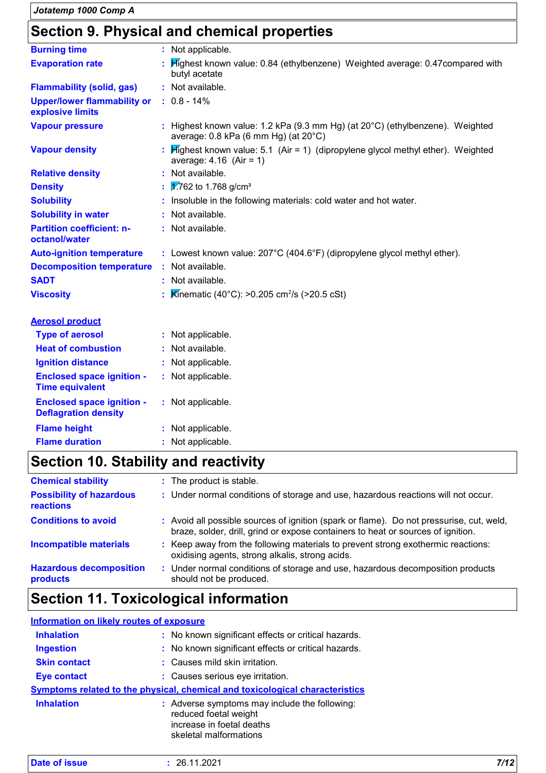### **Section 9. Physical and chemical properties**

| <b>Burning time</b>                                             | : Not applicable.                                                                                                     |
|-----------------------------------------------------------------|-----------------------------------------------------------------------------------------------------------------------|
| <b>Evaporation rate</b>                                         | : Highest known value: 0.84 (ethylbenzene) Weighted average: 0.47compared with<br>butyl acetate                       |
| <b>Flammability (solid, gas)</b>                                | : Not available.                                                                                                      |
| <b>Upper/lower flammability or</b><br>explosive limits          | $: 0.8 - 14\%$                                                                                                        |
| <b>Vapour pressure</b>                                          | : Highest known value: 1.2 kPa (9.3 mm Hg) (at 20°C) (ethylbenzene). Weighted<br>average: 0.8 kPa (6 mm Hg) (at 20°C) |
| <b>Vapour density</b>                                           | $H$ ighest known value: 5.1 (Air = 1) (dipropylene glycol methyl ether). Weighted<br>average: $4.16$ (Air = 1)        |
| <b>Relative density</b>                                         | : Not available.                                                                                                      |
| <b>Density</b>                                                  | $\frac{1}{2}$ .762 to 1.768 g/cm <sup>3</sup>                                                                         |
| <b>Solubility</b>                                               | : Insoluble in the following materials: cold water and hot water.                                                     |
| <b>Solubility in water</b>                                      | : Not available.                                                                                                      |
| <b>Partition coefficient: n-</b><br>octanol/water               | : Not available.                                                                                                      |
| <b>Auto-ignition temperature</b>                                | : Lowest known value: 207°C (404.6°F) (dipropylene glycol methyl ether).                                              |
| <b>Decomposition temperature</b>                                | : Not available.                                                                                                      |
| <b>SADT</b>                                                     | : Not available.                                                                                                      |
| <b>Viscosity</b>                                                | <b>Kinematic (40°C): &gt;0.205 cm<sup>2</sup>/s (&gt;20.5 cSt)</b>                                                    |
| <b>Aerosol product</b>                                          |                                                                                                                       |
| <b>Type of aerosol</b>                                          | : Not applicable.                                                                                                     |
| <b>Heat of combustion</b>                                       | : Not available.                                                                                                      |
| <b>Ignition distance</b>                                        | : Not applicable.                                                                                                     |
| <b>Enclosed space ignition -</b><br><b>Time equivalent</b>      | : Not applicable.                                                                                                     |
| <b>Enclosed space ignition -</b><br><b>Deflagration density</b> | : Not applicable.                                                                                                     |
| <b>Flame height</b>                                             | : Not applicable.                                                                                                     |

### **Flame duration :** Not applicable.

### **Section 10. Stability and reactivity**

| <b>Chemical stability</b>                    | : The product is stable.                                                                                                                                                     |
|----------------------------------------------|------------------------------------------------------------------------------------------------------------------------------------------------------------------------------|
| <b>Possibility of hazardous</b><br>reactions | : Under normal conditions of storage and use, hazardous reactions will not occur.                                                                                            |
| <b>Conditions to avoid</b>                   | : Avoid all possible sources of ignition (spark or flame). Do not pressurise, cut, weld,<br>braze, solder, drill, grind or expose containers to heat or sources of ignition. |
| <b>Incompatible materials</b>                | : Keep away from the following materials to prevent strong exothermic reactions:<br>oxidising agents, strong alkalis, strong acids.                                          |
| <b>Hazardous decomposition</b><br>products   | : Under normal conditions of storage and use, hazardous decomposition products<br>should not be produced.                                                                    |

### **Section 11. Toxicological information**

#### **Information on likely routes of exposure**

| <b>Inhalation</b>   | : No known significant effects or critical hazards.                                                                           |
|---------------------|-------------------------------------------------------------------------------------------------------------------------------|
| <b>Ingestion</b>    | : No known significant effects or critical hazards.                                                                           |
| <b>Skin contact</b> | : Causes mild skin irritation.                                                                                                |
| <b>Eye contact</b>  | : Causes serious eye irritation.                                                                                              |
|                     | Symptoms related to the physical, chemical and toxicological characteristics                                                  |
| <b>Inhalation</b>   | : Adverse symptoms may include the following:<br>reduced foetal weight<br>increase in foetal deaths<br>skeletal malformations |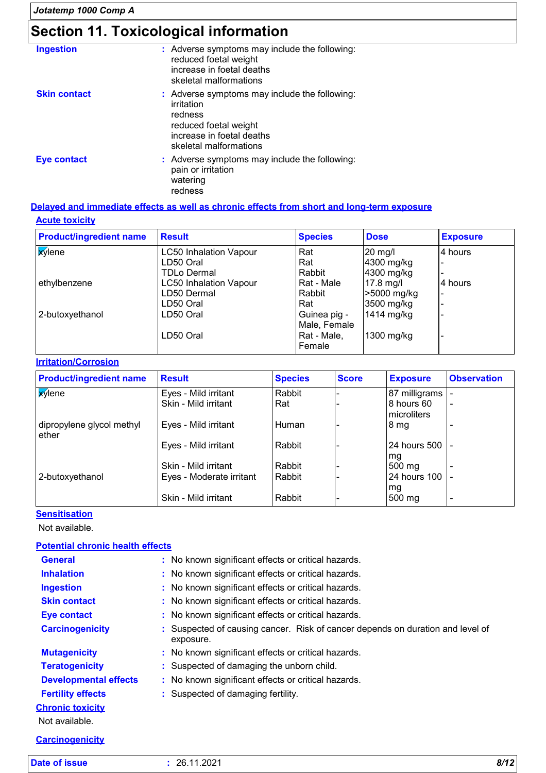## **Section 11. Toxicological information**

| <b>Ingestion</b>    | : Adverse symptoms may include the following:<br>reduced foetal weight<br>increase in foetal deaths<br>skeletal malformations                          |
|---------------------|--------------------------------------------------------------------------------------------------------------------------------------------------------|
| <b>Skin contact</b> | : Adverse symptoms may include the following:<br>irritation<br>redness<br>reduced foetal weight<br>increase in foetal deaths<br>skeletal malformations |
| <b>Eye contact</b>  | : Adverse symptoms may include the following:<br>pain or irritation<br>watering<br>redness                                                             |

### **Acute toxicity Delayed and immediate effects as well as chronic effects from short and long-term exposure**

| <b>Product/ingredient name</b> | <b>Result</b>                 | <b>Species</b> | <b>Dose</b> | <b>Exposure</b> |
|--------------------------------|-------------------------------|----------------|-------------|-----------------|
| <b>X</b> ylene                 | <b>LC50 Inhalation Vapour</b> | Rat            | $20$ mg/l   | 4 hours         |
|                                | LD50 Oral                     | Rat            | 4300 mg/kg  |                 |
|                                | TDLo Dermal                   | Rabbit         | 4300 mg/kg  |                 |
| ethylbenzene                   | <b>LC50 Inhalation Vapour</b> | Rat - Male     | 17.8 mg/l   | 14 hours        |
|                                | LD50 Dermal                   | Rabbit         | >5000 mg/kg |                 |
|                                | LD50 Oral                     | Rat            | 3500 mg/kg  |                 |
| 2-butoxyethanol                | LD50 Oral                     | Guinea pig -   | 1414 mg/kg  |                 |
|                                |                               | Male, Female   |             |                 |
|                                | LD50 Oral                     | Rat - Male,    | 1300 mg/kg  |                 |
|                                |                               | Female         |             |                 |

#### **Irritation/Corrosion**

| <b>Product/ingredient name</b>     | <b>Result</b>            | <b>Species</b> | <b>Score</b> | <b>Exposure</b>           | <b>Observation</b> |
|------------------------------------|--------------------------|----------------|--------------|---------------------------|--------------------|
| <b>X</b> ylene                     | Eyes - Mild irritant     | Rabbit         |              | 87 milligrams             |                    |
|                                    | Skin - Mild irritant     | Rat            |              | 8 hours 60<br>microliters |                    |
| dipropylene glycol methyl<br>ether | Eyes - Mild irritant     | ı Human        |              | 8 <sub>mg</sub>           |                    |
|                                    | Eyes - Mild irritant     | Rabbit         |              | 24 hours 500<br>Img       |                    |
|                                    | Skin - Mild irritant     | Rabbit         |              | 500 mg                    |                    |
| 2-butoxyethanol                    | Eyes - Moderate irritant | l Rabbit       |              | 24 hours 100              |                    |
|                                    | Skin - Mild irritant     | Rabbit         |              | mg<br>500 mg              |                    |

#### **Sensitisation**

Not available.

#### **Potential chronic health effects**

| <b>General</b>               | : No known significant effects or critical hazards.                                         |
|------------------------------|---------------------------------------------------------------------------------------------|
| <b>Inhalation</b>            | : No known significant effects or critical hazards.                                         |
| <b>Ingestion</b>             | : No known significant effects or critical hazards.                                         |
| <b>Skin contact</b>          | : No known significant effects or critical hazards.                                         |
| <b>Eye contact</b>           | : No known significant effects or critical hazards.                                         |
| <b>Carcinogenicity</b>       | : Suspected of causing cancer. Risk of cancer depends on duration and level of<br>exposure. |
| <b>Mutagenicity</b>          | : No known significant effects or critical hazards.                                         |
| <b>Teratogenicity</b>        | : Suspected of damaging the unborn child.                                                   |
| <b>Developmental effects</b> | : No known significant effects or critical hazards.                                         |
| <b>Fertility effects</b>     | : Suspected of damaging fertility.                                                          |
| <b>Chronic toxicity</b>      |                                                                                             |
| Not available.               |                                                                                             |
| <b>Carcinogenicity</b>       |                                                                                             |

**Date of issue :** 26.11.2021 *8/12*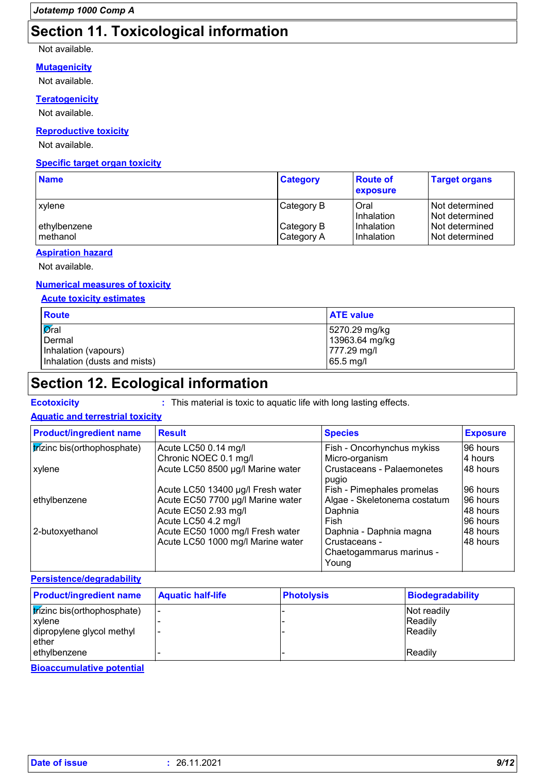### **Section 11. Toxicological information**

#### Not available.

#### **Mutagenicity**

Not available.

#### **Teratogenicity**

Not available.

#### **Reproductive toxicity**

Not available.

#### **Specific target organ toxicity**

| <b>Name</b>                | <b>Category</b>          | <b>Route of</b><br>exposure | <b>Target organs</b>             |
|----------------------------|--------------------------|-----------------------------|----------------------------------|
| xylene                     | Category B               | Oral<br>Inhalation          | Not determined<br>Not determined |
| ethylbenzene<br>l methanol | Category B<br>Category A | Inhalation<br>Inhalation    | Not determined<br>Not determined |

#### **Aspiration hazard**

Not available.

#### **Numerical measures of toxicity**

#### **Acute toxicity estimates**

| <b>Route</b>                 | <b>ATE value</b> |
|------------------------------|------------------|
| $\sigma$ ral                 | 5270.29 mg/kg    |
| Dermal                       | 13963.64 mg/kg   |
| Inhalation (vapours)         | 777.29 mg/l      |
| Inhalation (dusts and mists) | $65.5$ mg/l      |

### **Section 12. Ecological information**

**Ecotoxicity :** This material is toxic to aquatic life with long lasting effects.

#### **Aquatic and terrestrial toxicity**

| <b>Product/ingredient name</b> | <b>Result</b>                     | <b>Species</b>                             | <b>Exposure</b> |
|--------------------------------|-----------------------------------|--------------------------------------------|-----------------|
| trizinc bis(orthophosphate)    | Acute LC50 0.14 mg/l              | Fish - Oncorhynchus mykiss                 | 196 hours       |
|                                | Chronic NOEC 0.1 mg/l             | Micro-organism                             | 4 hours         |
| xylene                         | Acute LC50 8500 µg/l Marine water | <b>Crustaceans - Palaemonetes</b><br>pugio | 48 hours        |
|                                | Acute LC50 13400 µg/l Fresh water | Fish - Pimephales promelas                 | 96 hours        |
| ethylbenzene                   | Acute EC50 7700 µg/l Marine water | Algae - Skeletonema costatum               | 96 hours        |
|                                | Acute EC50 2.93 mg/l              | Daphnia                                    | I48 hours       |
|                                | Acute LC50 4.2 mg/l               | Fish                                       | 96 hours        |
| 2-butoxyethanol                | Acute EC50 1000 mg/l Fresh water  | Daphnia - Daphnia magna                    | 148 hours       |
|                                | Acute LC50 1000 mg/l Marine water | Crustaceans -                              | 48 hours        |
|                                |                                   | Chaetogammarus marinus -                   |                 |
|                                |                                   | Young                                      |                 |

**Persistence/degradability**

| <b>Product/ingredient name</b>                      | <b>Aquatic half-life</b> | <b>Photolysis</b> | <b>Biodegradability</b> |
|-----------------------------------------------------|--------------------------|-------------------|-------------------------|
| <i><b>trizinc bis(orthophosphate)</b></i><br>xylene | $\overline{\phantom{0}}$ |                   | Not readily<br>Readily  |
| dipropylene glycol methyl<br>ether                  |                          |                   | Readily                 |
| ethylbenzene                                        |                          |                   | Readily                 |

**Bioaccumulative potential**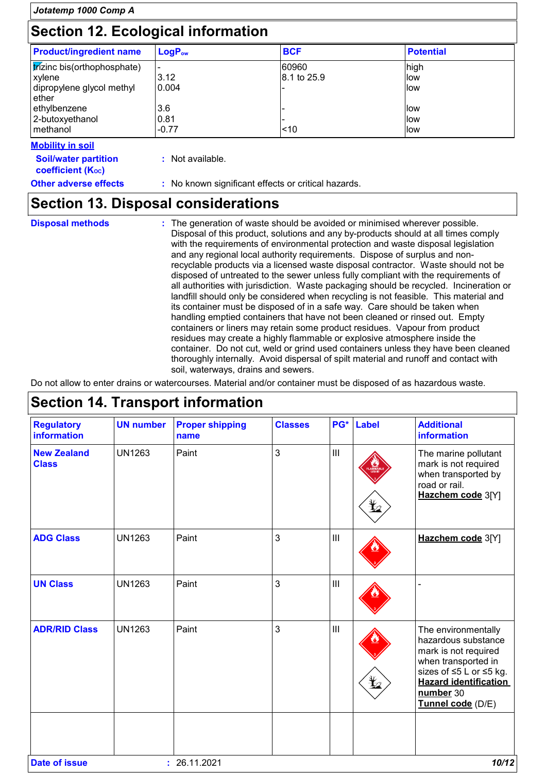| Jotatemp 1000 Comp A<br>Section 12. Ecological information                                                                               |                                                                      |                              |                                                      |  |
|------------------------------------------------------------------------------------------------------------------------------------------|----------------------------------------------------------------------|------------------------------|------------------------------------------------------|--|
|                                                                                                                                          |                                                                      |                              |                                                      |  |
| <i><b>trízinc bis(orthophosphate)</b></i><br>xylene<br>dipropylene glycol methyl<br>ether<br>ethylbenzene<br>2-butoxyethanol<br>methanol | $\overline{\phantom{a}}$<br>3.12<br>0.004<br>3.6<br> 0.81<br>$-0.77$ | 60960<br>18.1 to 25.9<br>~10 | high<br>llow<br>llow<br>llow<br>llow.<br><b>llow</b> |  |

#### **Mobility in soil**

**:** Not available.

**Soil/water partition coefficient (Koc)** 

**Other adverse effects** : No known significant effects or critical hazards.

### **Section 13. Disposal considerations**

**Disposal methods :**

The generation of waste should be avoided or minimised wherever possible. Disposal of this product, solutions and any by-products should at all times comply with the requirements of environmental protection and waste disposal legislation and any regional local authority requirements. Dispose of surplus and nonrecyclable products via a licensed waste disposal contractor. Waste should not be disposed of untreated to the sewer unless fully compliant with the requirements of all authorities with jurisdiction. Waste packaging should be recycled. Incineration or landfill should only be considered when recycling is not feasible. This material and its container must be disposed of in a safe way. Care should be taken when handling emptied containers that have not been cleaned or rinsed out. Empty containers or liners may retain some product residues. Vapour from product residues may create a highly flammable or explosive atmosphere inside the container. Do not cut, weld or grind used containers unless they have been cleaned thoroughly internally. Avoid dispersal of spilt material and runoff and contact with soil, waterways, drains and sewers.

Do not allow to enter drains or watercourses. Material and/or container must be disposed of as hazardous waste.

#### III **UN number** UN1263 **Proper shipping name** Paint **Classes** 3 **Regulatory information PG\* Label Additional information UN Class ADR/RID Class** - Paint 3 | III **A** The environmentally hazardous substance mark is not required when transported in sizes of ≤5 L or ≤5 kg. **Hazard identification number** 30 **Tunnel code** (D/E) **ADG Class New Zealand Class** UN1263 UN1263 Paint Paint 3 3 III III **Hazchem code** 3[Y] The marine pollutant mark is not required when transported by road or rail. **Hazchem code** 3[Y] **Date of issue :** 26.11.2021 *10/12*

### **Section 14. Transport information**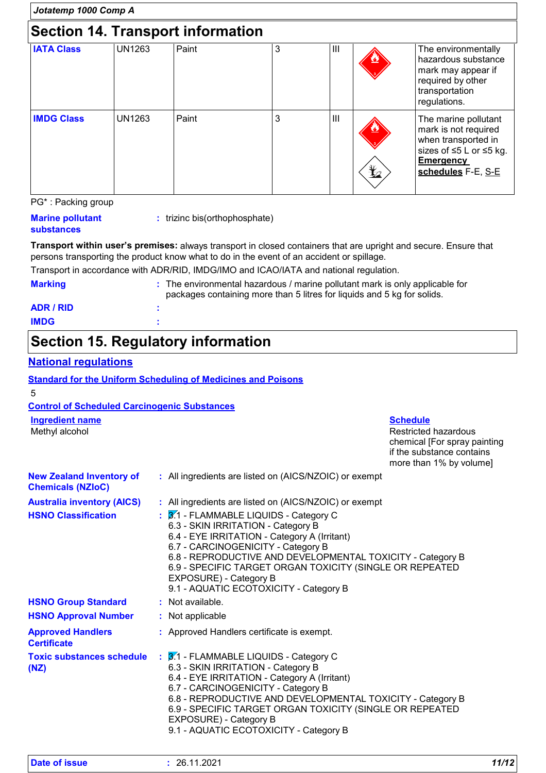| Jotatemp 1000 Comp A                     |               |       |   |     |            |                                                                                                                                          |
|------------------------------------------|---------------|-------|---|-----|------------|------------------------------------------------------------------------------------------------------------------------------------------|
| <b>Section 14. Transport information</b> |               |       |   |     |            |                                                                                                                                          |
| <b>IATA Class</b>                        | <b>UN1263</b> | Paint | 3 | Ш   |            | The environmentally<br>hazardous substance<br>mark may appear if<br>required by other<br>transportation<br>regulations.                  |
| <b>IMDG Class</b>                        | <b>UN1263</b> | Paint | 3 | III | $\bigstar$ | The marine pollutant<br>mark is not required<br>when transported in<br>sizes of ≤5 L or ≤5 kg.<br><b>Emergency</b><br>schedules F-E, S-E |
| PG*: Packing group                       |               |       |   |     |            |                                                                                                                                          |

| <b>Marine pollutant</b> |  |  |  |
|-------------------------|--|--|--|
| <b>substances</b>       |  |  |  |

**:** trizinc bis(orthophosphate)

**Transport within user's premises:** always transport in closed containers that are upright and secure. Ensure that persons transporting the product know what to do in the event of an accident or spillage.

|                | Transport in accordance with ADR/RID, IMDG/IMO and ICAO/IATA and national regulation.                                                                   |
|----------------|---------------------------------------------------------------------------------------------------------------------------------------------------------|
| <b>Marking</b> | : The environmental hazardous / marine pollutant mark is only applicable for<br>packages containing more than 5 litres for liquids and 5 kg for solids. |
| ADR / RID      |                                                                                                                                                         |

#### **IMDG :**

### **Section 15. Regulatory information**

### **National regulations**

|                                                             | <b>Standard for the Uniform Scheduling of Medicines and Poisons</b>                                                                                                                                                                                                                                                                                                          |                                                                                                                                        |
|-------------------------------------------------------------|------------------------------------------------------------------------------------------------------------------------------------------------------------------------------------------------------------------------------------------------------------------------------------------------------------------------------------------------------------------------------|----------------------------------------------------------------------------------------------------------------------------------------|
| 5                                                           |                                                                                                                                                                                                                                                                                                                                                                              |                                                                                                                                        |
| <b>Control of Scheduled Carcinogenic Substances</b>         |                                                                                                                                                                                                                                                                                                                                                                              |                                                                                                                                        |
| <b>Ingredient name</b><br>Methyl alcohol                    |                                                                                                                                                                                                                                                                                                                                                                              | <b>Schedule</b><br><b>Restricted hazardous</b><br>chemical [For spray painting<br>if the substance contains<br>more than 1% by volume] |
| <b>New Zealand Inventory of</b><br><b>Chemicals (NZIoC)</b> | : All ingredients are listed on (AICS/NZOIC) or exempt                                                                                                                                                                                                                                                                                                                       |                                                                                                                                        |
| <b>Australia inventory (AICS)</b>                           | : All ingredients are listed on (AICS/NZOIC) or exempt                                                                                                                                                                                                                                                                                                                       |                                                                                                                                        |
| <b>HSNO Classification</b>                                  | $\frac{1}{2}$ 3.1 - FLAMMABLE LIQUIDS - Category C<br>6.3 - SKIN IRRITATION - Category B<br>6.4 - EYE IRRITATION - Category A (Irritant)<br>6.7 - CARCINOGENICITY - Category B<br>6.8 - REPRODUCTIVE AND DEVELOPMENTAL TOXICITY - Category B<br>6.9 - SPECIFIC TARGET ORGAN TOXICITY (SINGLE OR REPEATED<br>EXPOSURE) - Category B<br>9.1 - AQUATIC ECOTOXICITY - Category B |                                                                                                                                        |
| <b>HSNO Group Standard</b>                                  | : Not available.                                                                                                                                                                                                                                                                                                                                                             |                                                                                                                                        |
| <b>HSNO Approval Number</b>                                 | : Not applicable                                                                                                                                                                                                                                                                                                                                                             |                                                                                                                                        |
| <b>Approved Handlers</b><br><b>Certificate</b>              | : Approved Handlers certificate is exempt.                                                                                                                                                                                                                                                                                                                                   |                                                                                                                                        |
| <b>Toxic substances schedule</b><br>(NZ)                    | $\frac{1}{2}$ 3.1 - FLAMMABLE LIQUIDS - Category C<br>6.3 - SKIN IRRITATION - Category B<br>6.4 - EYE IRRITATION - Category A (Irritant)<br>6.7 - CARCINOGENICITY - Category B<br>6.8 - REPRODUCTIVE AND DEVELOPMENTAL TOXICITY - Category B<br>6.9 - SPECIFIC TARGET ORGAN TOXICITY (SINGLE OR REPEATED<br>EXPOSURE) - Category B<br>9.1 - AQUATIC ECOTOXICITY - Category B |                                                                                                                                        |